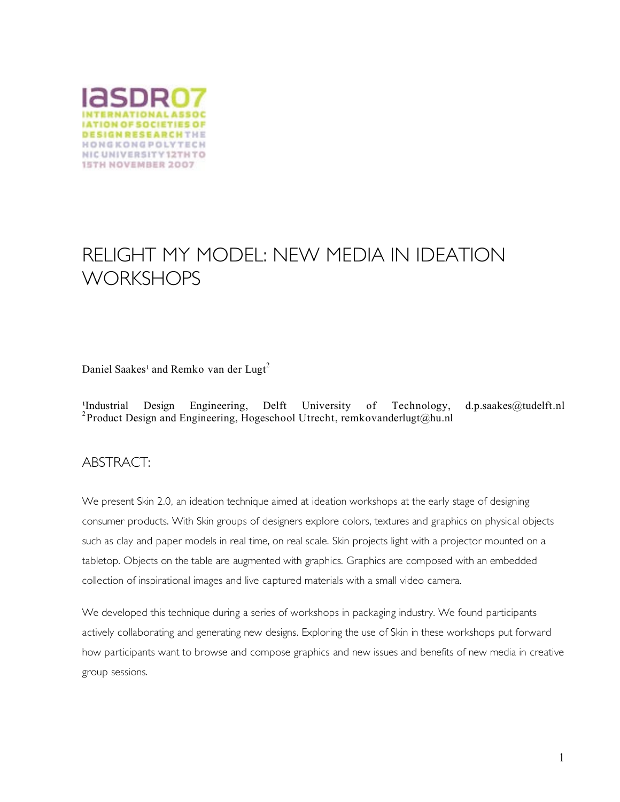

# RELIGHT MY MODEL: NEW MEDIA IN IDEATION **WORKSHOPS**

Daniel Saakes<sup>1</sup> and Remko van der Lugt<sup>2</sup>

Industrial Design Engineering, Delft University of Technology, d.p.saakes@tudelft.nl<br><sup>2</sup>Product Design and Engineering, Hogeschool Utrecht, remkovanderlugt@hu.nl

### ABSTRACT:

We present Skin 2.0, an ideation technique aimed at ideation workshops at the early stage of designing consumer products. With Skin groups of designers explore colors, textures and graphics on physical objects such as clay and paper models in real time, on real scale. Skin projects light with a projector mounted on a tabletop. Objects on the table are augmented with graphics. Graphics are composed with an embedded collection of inspirational images and live captured materials with a small video camera.

We developed this technique during a series of workshops in packaging industry. We found participants actively collaborating and generating new designs. Exploring the use of Skin in these workshops put forward how participants want to browse and compose graphics and new issues and benefits of new media in creative group sessions.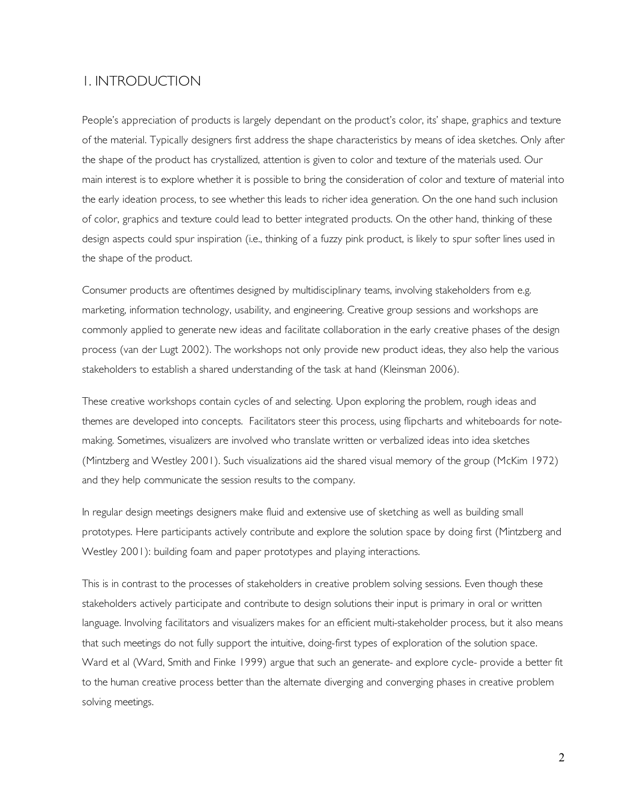#### 1. INTRODUCTION

People's appreciation of products is largely dependant on the product's color, its' shape, graphics and texture of the material. Typically designers first address the shape characteristics by means of idea sketches. Only after the shape of the product has crystallized, attention is given to color and texture of the materials used. Our main interest is to explore whether it is possible to bring the consideration of color and texture of material into the early ideation process, to see whether this leads to richer idea generation. On the one hand such inclusion of color, graphics and texture could lead to better integrated products. On the other hand, thinking of these design aspects could spur inspiration (i.e., thinking of a fuzzy pink product, is likely to spur softer lines used in the shape of the product.

Consumer products are oftentimes designed by multidisciplinary teams, involving stakeholders from e.g. marketing, information technology, usability, and engineering. Creative group sessions and workshops are commonly applied to generate new ideas and facilitate collaboration in the early creative phases of the design process (van der Lugt 2002). The workshops not only provide new product ideas, they also help the various stakeholders to establish a shared understanding of the task at hand (Kleinsman 2006).

These creative workshops contain cycles of and selecting. Upon exploring the problem, rough ideas and themes are developed into concepts. Facilitators steer this process, using flipcharts and whiteboards for notemaking. Sometimes, visualizers are involved who translate written or verbalized ideas into idea sketches (Mintzberg and Westley 2001). Such visualizations aid the shared visual memory of the group (McKim 1972) and they help communicate the session results to the company.

In regular design meetings designers make fluid and extensive use of sketching as well as building small prototypes. Here participants actively contribute and explore the solution space by doing first (Mintzberg and Westley 2001): building foam and paper prototypes and playing interactions.

This is in contrast to the processes of stakeholders in creative problem solving sessions. Even though these stakeholders actively participate and contribute to design solutions their input is primary in oral or written language. Involving facilitators and visualizers makes for an efficient multi-stakeholder process, but it also means that such meetings do not fully support the intuitive, doing-first types of exploration of the solution space. Ward et al (Ward, Smith and Finke 1999) argue that such an generate- and explore cycle- provide a better fit to the human creative process better than the alternate diverging and converging phases in creative problem solving meetings.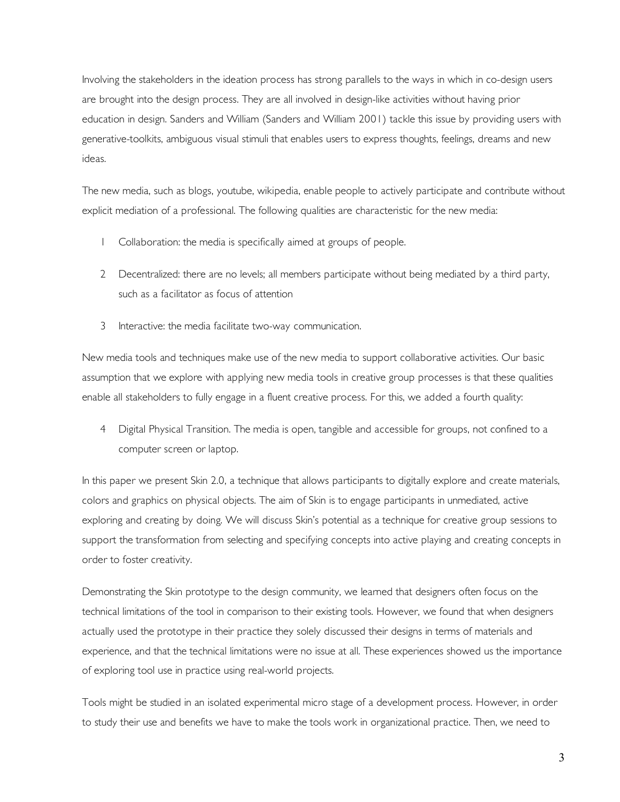Involving the stakeholders in the ideation process has strong parallels to the ways in which in co-design users are brought into the design process. They are all involved in design-like activities without having prior education in design. Sanders and William (Sanders and William 2001) tackle this issue by providing users with generative-toolkits, ambiguous visual stimuli that enables users to express thoughts, feelings, dreams and new ideas.

The new media, such as blogs, youtube, wikipedia, enable people to actively participate and contribute without explicit mediation of a professional. The following qualities are characteristic for the new media:

- 1 Collaboration: the media is specifically aimed at groups of people.
- 2 Decentralized: there are no levels; all members participate without being mediated by a third party, such as a facilitator as focus of attention
- 3 Interactive: the media facilitate two-way communication.

New media tools and techniques make use of the new media to support collaborative activities. Our basic assumption that we explore with applying new media tools in creative group processes is that these qualities enable all stakeholders to fully engage in a fluent creative process. For this, we added a fourth quality:

4 Digital Physical Transition. The media is open, tangible and accessible for groups, not confined to a computer screen or laptop.

In this paper we present Skin 2.0, a technique that allows participants to digitally explore and create materials, colors and graphics on physical objects. The aim of Skin is to engage participants in unmediated, active exploring and creating by doing. We will discuss Skin's potential as a technique for creative group sessions to support the transformation from selecting and specifying concepts into active playing and creating concepts in order to foster creativity.

Demonstrating the Skin prototype to the design community, we learned that designers often focus on the technical limitations of the tool in comparison to their existing tools. However, we found that when designers actually used the prototype in their practice they solely discussed their designs in terms of materials and experience, and that the technical limitations were no issue at all. These experiences showed us the importance of exploring tool use in practice using real-world projects.

Tools might be studied in an isolated experimental micro stage of a development process. However, in order to study their use and benefits we have to make the tools work in organizational practice. Then, we need to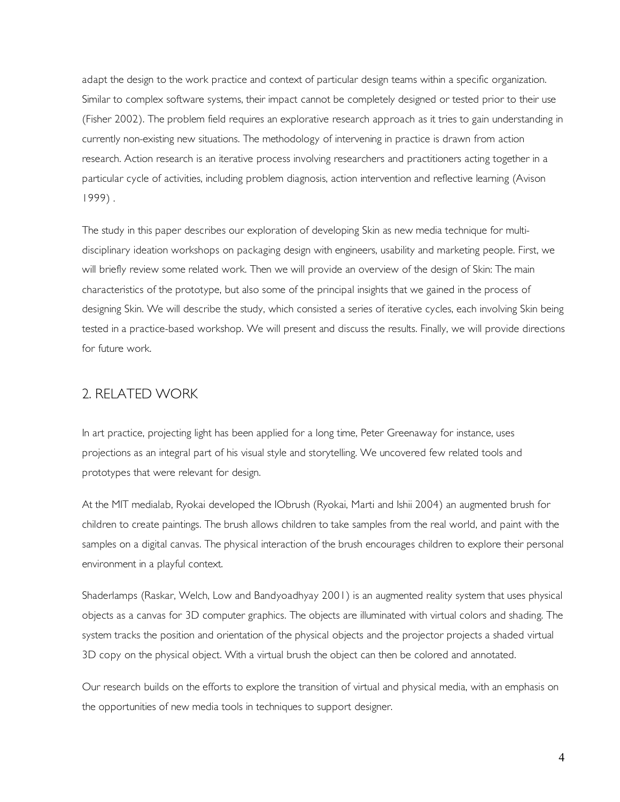adapt the design to the work practice and context of particular design teams within a specific organization. Similar to complex software systems, their impact cannot be completely designed or tested prior to their use (Fisher 2002). The problem field requires an explorative research approach as it tries to gain understanding in currently non-existing new situations. The methodology of intervening in practice is drawn from action research. Action research is an iterative process involving researchers and practitioners acting together in a particular cycle of activities, including problem diagnosis, action intervention and reflective learning (Avison 1999) .

The study in this paper describes our exploration of developing Skin as new media technique for multidisciplinary ideation workshops on packaging design with engineers, usability and marketing people. First, we will briefly review some related work. Then we will provide an overview of the design of Skin: The main characteristics of the prototype, but also some of the principal insights that we gained in the process of designing Skin. We will describe the study, which consisted a series of iterative cycles, each involving Skin being tested in a practice-based workshop. We will present and discuss the results. Finally, we will provide directions for future work.

## 2. RELATED WORK

In art practice, projecting light has been applied for a long time, Peter Greenaway for instance, uses projections as an integral part of his visual style and storytelling. We uncovered few related tools and prototypes that were relevant for design.

At the MIT medialab, Ryokai developed the IObrush (Ryokai, Marti and Ishii 2004) an augmented brush for children to create paintings. The brush allows children to take samples from the real world, and paint with the samples on a digital canvas. The physical interaction of the brush encourages children to explore their personal environment in a playful context.

Shaderlamps (Raskar, Welch, Low and Bandyoadhyay 2001) is an augmented reality system that uses physical objects as a canvas for 3D computer graphics. The objects are illuminated with virtual colors and shading. The system tracks the position and orientation of the physical objects and the projector projects a shaded virtual 3D copy on the physical object. With a virtual brush the object can then be colored and annotated.

Our research builds on the efforts to explore the transition of virtual and physical media, with an emphasis on the opportunities of new media tools in techniques to support designer.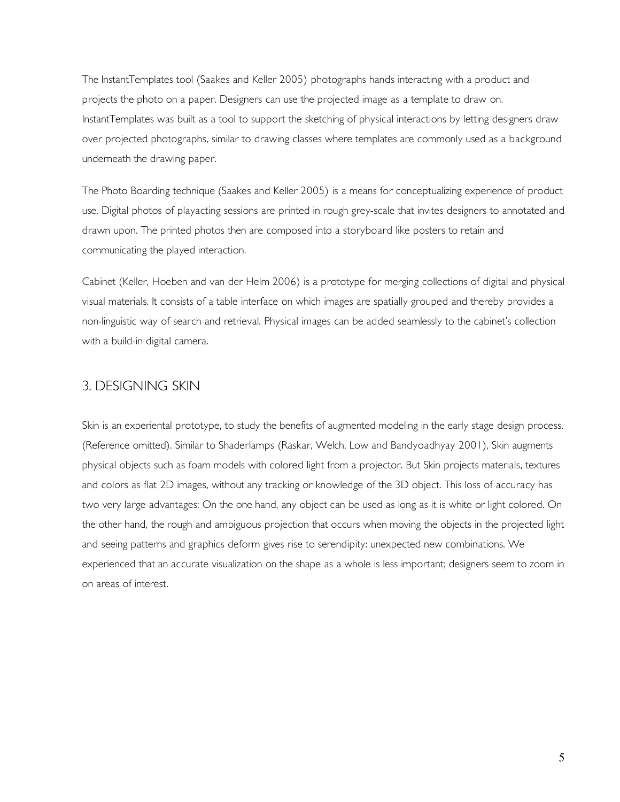The InstantTemplates tool (Saakes and Keller 2005) photographs hands interacting with a product and projects the photo on a paper. Designers can use the projected image as a template to draw on. InstantTemplates was built as a tool to support the sketching of physical interactions by letting designers draw over projected photographs, similar to drawing classes where templates are commonly used as a background underneath the drawing paper.

The Photo Boarding technique (Saakes and Keller 2005) is a means for conceptualizing experience of product use. Digital photos of playacting sessions are printed in rough grey-scale that invites designers to annotated and drawn upon. The printed photos then are composed into a storyboard like posters to retain and communicating the played interaction.

Cabinet (Keller, Hoeben and van der Helm 2006) is a prototype for merging collections of digital and physical visual materials. It consists of a table interface on which images are spatially grouped and thereby provides a non-linguistic way of search and retrieval. Physical images can be added seamlessly to the cabinet's collection with a build-in digital camera.

#### 3. DESIGNING SKIN

Skin is an experiental prototype, to study the benefits of augmented modeling in the early stage design process. (Reference omitted). Similar to Shaderlamps (Raskar, Welch, Low and Bandyoadhyay 2001), Skin augments physical objects such as foam models with colored light from a projector. But Skin projects materials, textures and colors as flat 2D images, without any tracking or knowledge of the 3D object. This loss of accuracy has two very large advantages: On the one hand, any object can be used as long as it is white or light colored. On the other hand, the rough and ambiguous projection that occurs when moving the objects in the projected light and seeing patterns and graphics deform gives rise to serendipity: unexpected new combinations. We experienced that an accurate visualization on the shape as a whole is less important; designers seem to zoom in on areas of interest.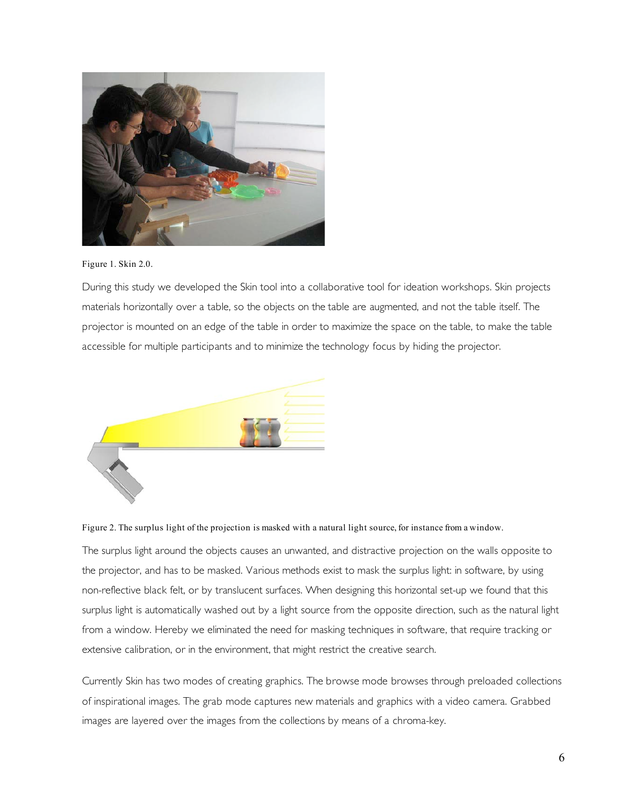

Figure 1. Skin 2.0.

During this study we developed the Skin tool into a collaborative tool for ideation workshops. Skin projects materials horizontally over a table, so the objects on the table are augmented, and not the table itself. The projector is mounted on an edge of the table in order to maximize the space on the table, to make the table accessible for multiple participants and to minimize the technology focus by hiding the projector.



Figure 2. The surplus light of the projection is masked with a natural light source, for instance from a window.

The surplus light around the objects causes an unwanted, and distractive projection on the walls opposite to the projector, and has to be masked. Various methods exist to mask the surplus light: in software, by using non-reflective black felt, or by translucent surfaces. When designing this horizontal set-up we found that this surplus light is automatically washed out by a light source from the opposite direction, such as the natural light from a window. Hereby we eliminated the need for masking techniques in software, that require tracking or extensive calibration, or in the environment, that might restrict the creative search.

Currently Skin has two modes of creating graphics. The browse mode browses through preloaded collections of inspirational images. The grab mode captures new materials and graphics with a video camera. Grabbed images are layered over the images from the collections by means of a chroma-key.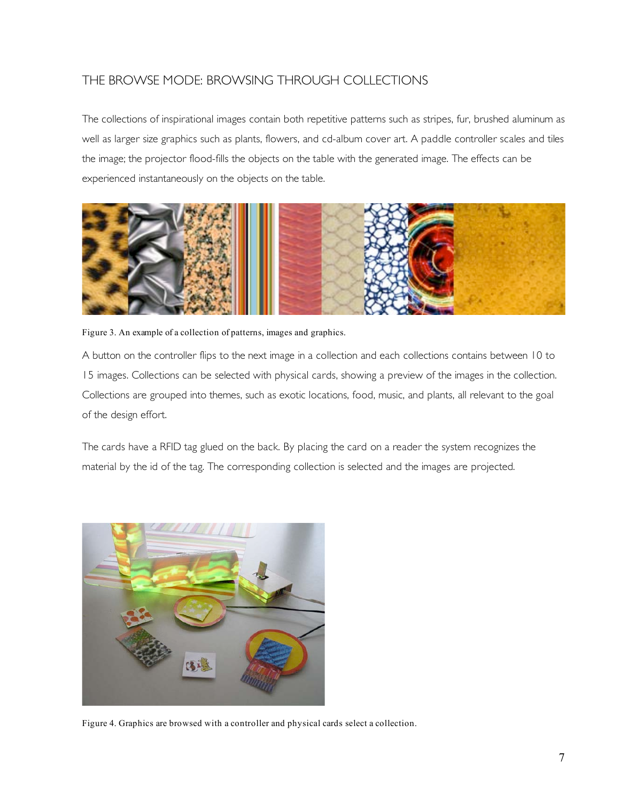# THE BROWSE MODE: BROWSING THROUGH COLLECTIONS

The collections of inspirational images contain both repetitive patterns such as stripes, fur, brushed aluminum as well as larger size graphics such as plants, flowers, and cd-album cover art. A paddle controller scales and tiles the image; the projector flood-fills the objects on the table with the generated image. The effects can be experienced instantaneously on the objects on the table.



Figure 3. An example of a collection of patterns, images and graphics.

A button on the controller flips to the next image in a collection and each collections contains between 10 to 15 images. Collections can be selected with physical cards, showing a preview of the images in the collection. Collections are grouped into themes, such as exotic locations, food, music, and plants, all relevant to the goal of the design effort.

The cards have a RFID tag glued on the back. By placing the card on a reader the system recognizes the material by the id of the tag. The corresponding collection is selected and the images are projected.



Figure 4. Graphics are browsed with a controller and physical cards select a collection.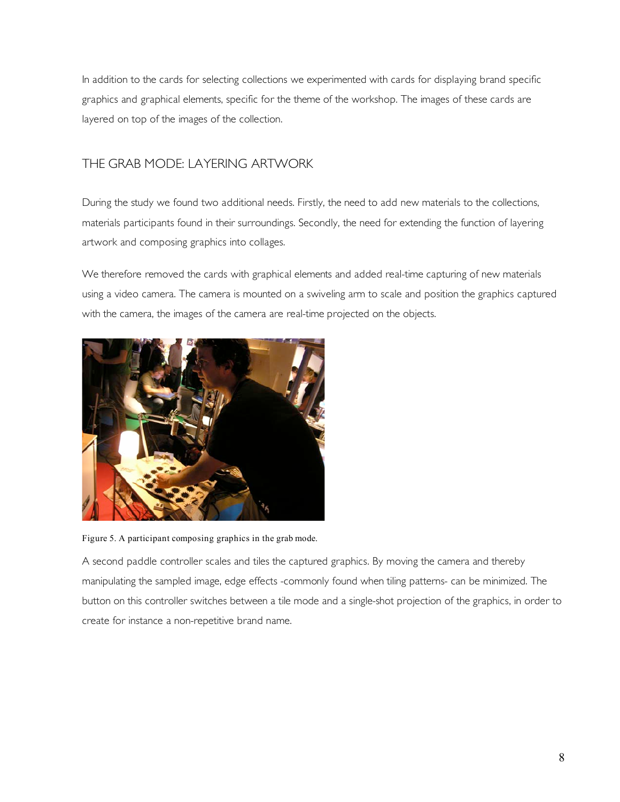In addition to the cards for selecting collections we experimented with cards for displaying brand specific graphics and graphical elements, specific for the theme of the workshop. The images of these cards are layered on top of the images of the collection.

## THE GRAB MODE: LAYERING ARTWORK

During the study we found two additional needs. Firstly, the need to add new materials to the collections, materials participants found in their surroundings. Secondly, the need for extending the function of layering artwork and composing graphics into collages.

We therefore removed the cards with graphical elements and added real-time capturing of new materials using a video camera. The camera is mounted on a swiveling arm to scale and position the graphics captured with the camera, the images of the camera are real-time projected on the objects.



Figure 5. A participant composing graphics in the grab mode.

A second paddle controller scales and tiles the captured graphics. By moving the camera and thereby manipulating the sampled image, edge effects -commonly found when tiling patterns- can be minimized. The button on this controller switches between a tile mode and a single-shot projection of the graphics, in order to create for instance a non-repetitive brand name.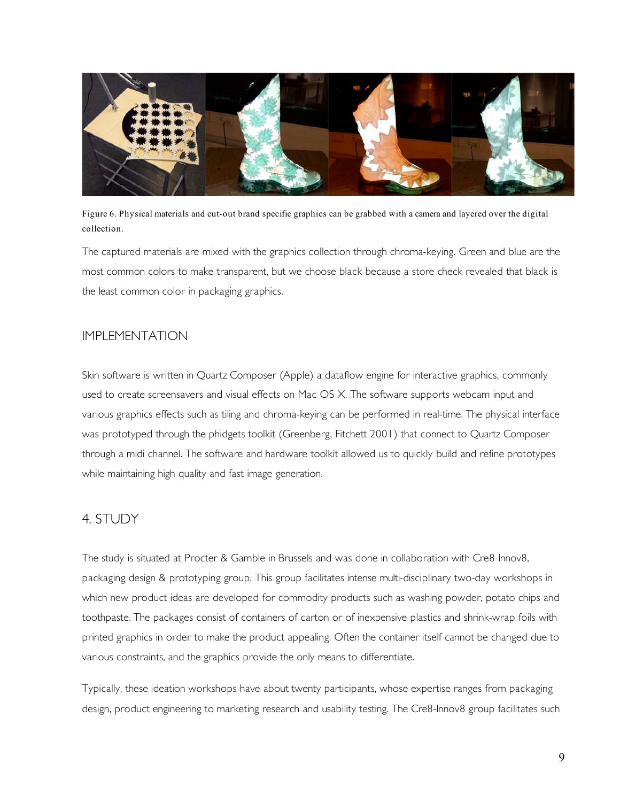

Figure 6. Physical materials and cut-out brand specific graphics can be grabbed with a camera and layered over the digital collection.

The captured materials are mixed with the graphics collection through chroma-keying. Green and blue are the most common colors to make transparent, but we choose black because a store check revealed that black is the least common color in packaging graphics.

## IMPI EMENTATION

Skin software is written in Quartz Composer (Apple) a dataflow engine for interactive graphics, commonly used to create screensavers and visual effects on Mac OS X. The software supports webcam input and various graphics effects such as tiling and chroma-keying can be performed in real-time. The physical interface was prototyped through the phidgets toolkit (Greenberg, Fitchett 2001) that connect to Quartz Composer through a midi channel. The software and hardware toolkit allowed us to quickly build and refine prototypes while maintaining high quality and fast image generation.

# 4. STUDY

The study is situated at Procter & Gamble in Brussels and was done in collaboration with Cre8-Innov8, packaging design & prototyping group. This group facilitates intense multi-disciplinary two-day workshops in which new product ideas are developed for commodity products such as washing powder, potato chips and toothpaste. The packages consist of containers of carton or of inexpensive plastics and shrink-wrap foils with printed graphics in order to make the product appealing. Often the container itself cannot be changed due to various constraints, and the graphics provide the only means to differentiate.

Typically, these ideation workshops have about twenty participants, whose expertise ranges from packaging design, product engineering to marketing research and usability testing. The Cre8-Innov8 group facilitates such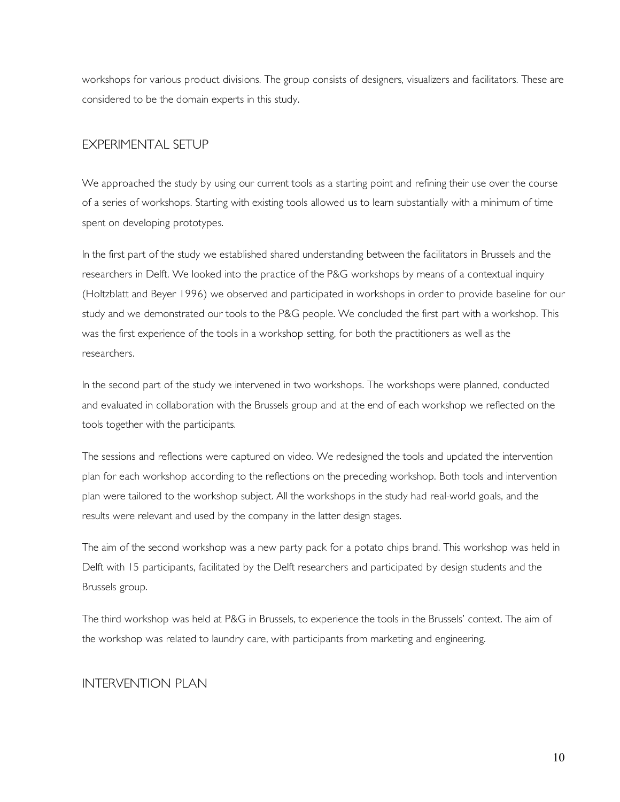workshops for various product divisions. The group consists of designers, visualizers and facilitators. These are considered to be the domain experts in this study.

#### EXPERIMENTAL SETUP

We approached the study by using our current tools as a starting point and refining their use over the course of a series of workshops. Starting with existing tools allowed us to learn substantially with a minimum of time spent on developing prototypes.

In the first part of the study we established shared understanding between the facilitators in Brussels and the researchers in Delft. We looked into the practice of the P&G workshops by means of a contextual inquiry (Holtzblatt and Beyer 1996) we observed and participated in workshops in order to provide baseline for our study and we demonstrated our tools to the P&G people. We concluded the first part with a workshop. This was the first experience of the tools in a workshop setting, for both the practitioners as well as the researchers.

In the second part of the study we intervened in two workshops. The workshops were planned, conducted and evaluated in collaboration with the Brussels group and at the end of each workshop we reflected on the tools together with the participants.

The sessions and reflections were captured on video. We redesigned the tools and updated the intervention plan for each workshop according to the reflections on the preceding workshop. Both tools and intervention plan were tailored to the workshop subject. All the workshops in the study had real-world goals, and the results were relevant and used by the company in the latter design stages.

The aim of the second workshop was a new party pack for a potato chips brand. This workshop was held in Delft with 15 participants, facilitated by the Delft researchers and participated by design students and the Brussels group.

The third workshop was held at P&G in Brussels, to experience the tools in the Brussels' context. The aim of the workshop was related to laundry care, with participants from marketing and engineering.

#### INTERVENTION PLAN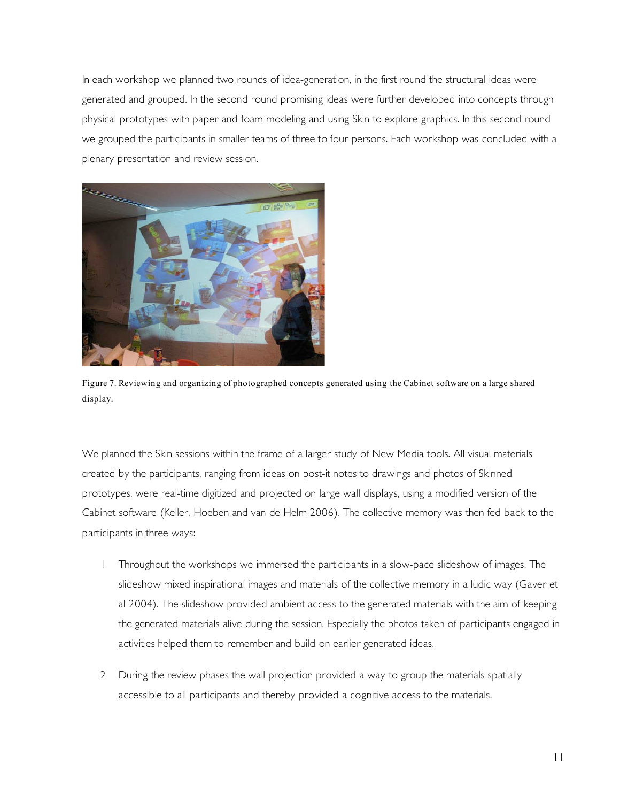In each workshop we planned two rounds of idea-generation, in the first round the structural ideas were generated and grouped. In the second round promising ideas were further developed into concepts through physical prototypes with paper and foam modeling and using Skin to explore graphics. In this second round we grouped the participants in smaller teams of three to four persons. Each workshop was concluded with a plenary presentation and review session.



Figure 7. Reviewing and organizing of photographed concepts generated using the Cabinet software on a large shared display.

We planned the Skin sessions within the frame of a larger study of New Media tools. All visual materials created by the participants, ranging from ideas on post-it notes to drawings and photos of Skinned prototypes, were real-time digitized and projected on large wall displays, using a modified version of the Cabinet software (Keller, Hoeben and van de Helm 2006). The collective memory was then fed back to the participants in three ways:

- 1 Throughout the workshops we immersed the participants in a slow-pace slideshow of images. The slideshow mixed inspirational images and materials of the collective memory in a ludic way (Gaver et al 2004). The slideshow provided ambient access to the generated materials with the aim of keeping the generated materials alive during the session. Especially the photos taken of participants engaged in activities helped them to remember and build on earlier generated ideas.
- 2 During the review phases the wall projection provided a way to group the materials spatially accessible to all participants and thereby provided a cognitive access to the materials.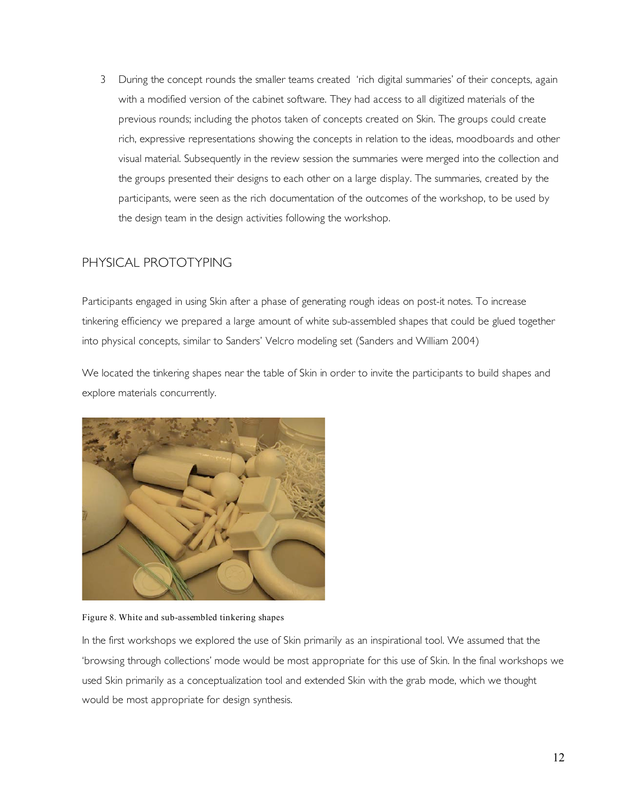3 During the concept rounds the smaller teams created 'rich digital summaries' of their concepts, again with a modified version of the cabinet software. They had access to all digitized materials of the previous rounds; including the photos taken of concepts created on Skin. The groups could create rich, expressive representations showing the concepts in relation to the ideas, moodboards and other visual material. Subsequently in the review session the summaries were merged into the collection and the groups presented their designs to each other on a large display. The summaries, created by the participants, were seen as the rich documentation of the outcomes of the workshop, to be used by the design team in the design activities following the workshop.

# PHYSICAL PROTOTYPING

Participants engaged in using Skin after a phase of generating rough ideas on post-it notes. To increase tinkering efficiency we prepared a large amount of white sub-assembled shapes that could be glued together into physical concepts, similar to Sanders' Velcro modeling set (Sanders and William 2004)

We located the tinkering shapes near the table of Skin in order to invite the participants to build shapes and explore materials concurrently.



Figure 8. White and sub-assembled tinkering shapes

In the first workshops we explored the use of Skin primarily as an inspirational tool. We assumed that the 'browsing through collections' mode would be most appropriate for this use of Skin. In the final workshops we used Skin primarily as a conceptualization tool and extended Skin with the grab mode, which we thought would be most appropriate for design synthesis.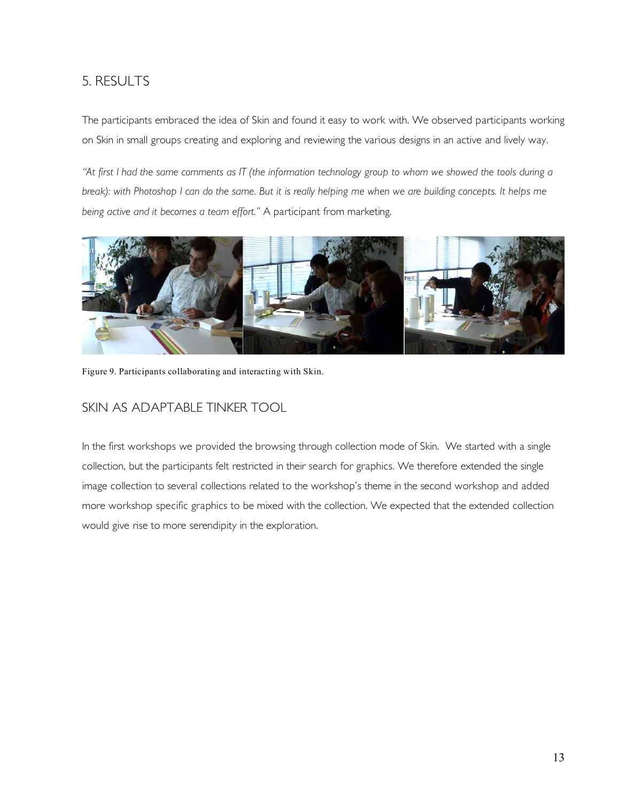# 5. RESULTS

The participants embraced the idea of Skin and found it easy to work with. We observed participants working on Skin in small groups creating and exploring and reviewing the various designs in an active and lively way.

*"At first I had the same comments as IT (the information technology group to whom we showed the tools during a break): with Photoshop I can do the same. But it is really helping me when we are building concepts. It helps me being active and it becomes a team effort."* A participant from marketing.



Figure 9. Participants collaborating and interacting with Skin.

# SKIN AS ADAPTABLE TINKER TOOL

In the first workshops we provided the browsing through collection mode of Skin. We started with a single collection, but the participants felt restricted in their search for graphics. We therefore extended the single image collection to several collections related to the workshop's theme in the second workshop and added more workshop specific graphics to be mixed with the collection. We expected that the extended collection would give rise to more serendipity in the exploration.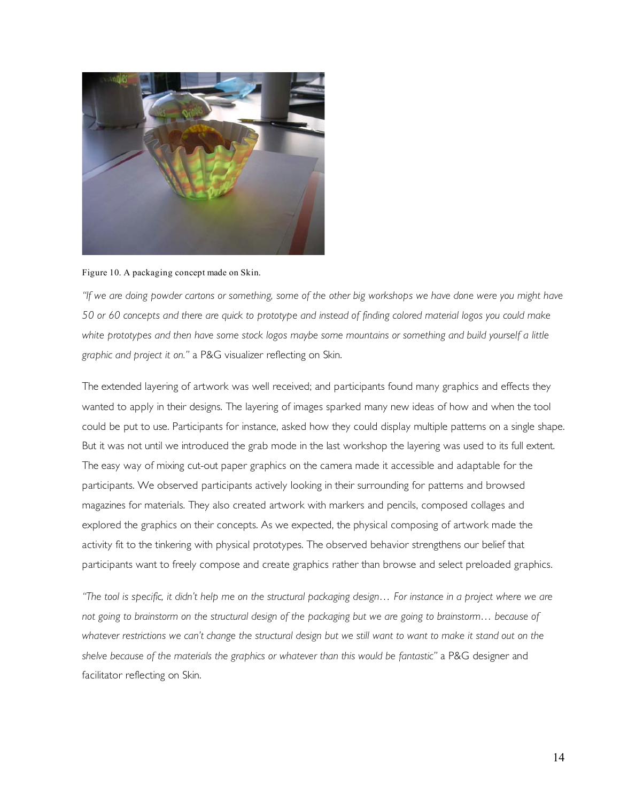

Figure 10. A packaging concept made on Skin.

*"If we are doing powder cartons or something, some of the other big workshops we have done were you might have 50 or 60 concepts and there are quick to prototype and instead of finding colored material logos you could make*  white prototypes and then have some stock logos maybe some mountains or something and build yourself a little *graphic and project it on."* a P&G visualizer reflecting on Skin.

The extended layering of artwork was well received; and participants found many graphics and effects they wanted to apply in their designs. The layering of images sparked many new ideas of how and when the tool could be put to use. Participants for instance, asked how they could display multiple patterns on a single shape. But it was not until we introduced the grab mode in the last workshop the layering was used to its full extent. The easy way of mixing cut-out paper graphics on the camera made it accessible and adaptable for the participants. We observed participants actively looking in their surrounding for patterns and browsed magazines for materials. They also created artwork with markers and pencils, composed collages and explored the graphics on their concepts. As we expected, the physical composing of artwork made the activity fit to the tinkering with physical prototypes. The observed behavior strengthens our belief that participants want to freely compose and create graphics rather than browse and select preloaded graphics.

*"The tool is specific, it didn't help me on the structural packaging design... For instance in a project where we are not going to brainstorm on the structural design of the packaging but we are going to brainstorm… because of*  whatever restrictions we can't change the structural design but we still want to want to make it stand out on the *shelve because of the materials the graphics or whatever than this would be fantastic"* a P&G designer and facilitator reflecting on Skin.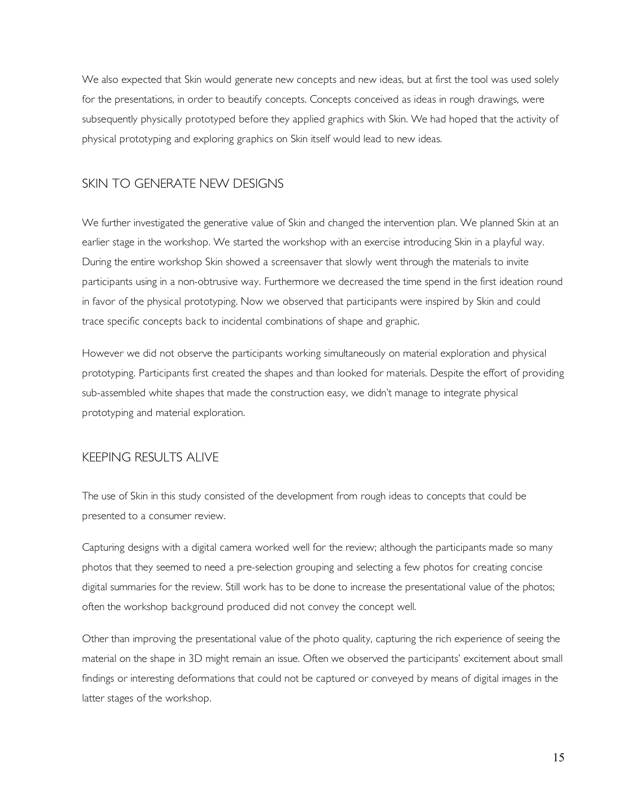We also expected that Skin would generate new concepts and new ideas, but at first the tool was used solely for the presentations, in order to beautify concepts. Concepts conceived as ideas in rough drawings, were subsequently physically prototyped before they applied graphics with Skin. We had hoped that the activity of physical prototyping and exploring graphics on Skin itself would lead to new ideas.

#### SKIN TO GENERATE NEW DESIGNS

We further investigated the generative value of Skin and changed the intervention plan. We planned Skin at an earlier stage in the workshop. We started the workshop with an exercise introducing Skin in a playful way. During the entire workshop Skin showed a screensaver that slowly went through the materials to invite participants using in a non-obtrusive way. Furthermore we decreased the time spend in the first ideation round in favor of the physical prototyping. Now we observed that participants were inspired by Skin and could trace specific concepts back to incidental combinations of shape and graphic.

However we did not observe the participants working simultaneously on material exploration and physical prototyping. Participants first created the shapes and than looked for materials. Despite the effort of providing sub-assembled white shapes that made the construction easy, we didn't manage to integrate physical prototyping and material exploration.

#### KEEPING RESULTS ALIVE

The use of Skin in this study consisted of the development from rough ideas to concepts that could be presented to a consumer review.

Capturing designs with a digital camera worked well for the review; although the participants made so many photos that they seemed to need a pre-selection grouping and selecting a few photos for creating concise digital summaries for the review. Still work has to be done to increase the presentational value of the photos; often the workshop background produced did not convey the concept well.

Other than improving the presentational value of the photo quality, capturing the rich experience of seeing the material on the shape in 3D might remain an issue. Often we observed the participants' excitement about small findings or interesting deformations that could not be captured or conveyed by means of digital images in the latter stages of the workshop.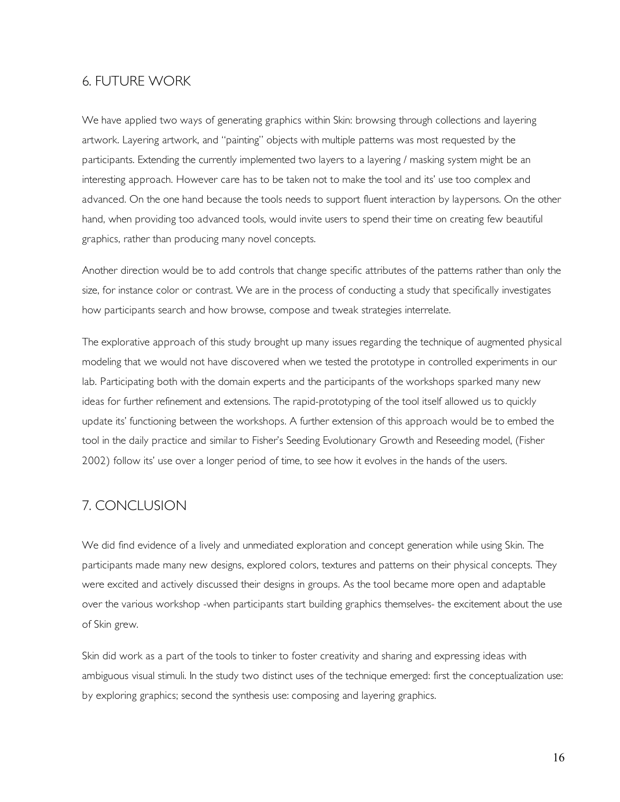#### 6. FUTURE WORK

We have applied two ways of generating graphics within Skin: browsing through collections and layering artwork. Layering artwork, and "painting" objects with multiple patterns was most requested by the participants. Extending the currently implemented two layers to a layering / masking system might be an interesting approach. However care has to be taken not to make the tool and its' use too complex and advanced. On the one hand because the tools needs to support fluent interaction by laypersons. On the other hand, when providing too advanced tools, would invite users to spend their time on creating few beautiful graphics, rather than producing many novel concepts.

Another direction would be to add controls that change specific attributes of the patterns rather than only the size, for instance color or contrast. We are in the process of conducting a study that specifically investigates how participants search and how browse, compose and tweak strategies interrelate.

The explorative approach of this study brought up many issues regarding the technique of augmented physical modeling that we would not have discovered when we tested the prototype in controlled experiments in our lab. Participating both with the domain experts and the participants of the workshops sparked many new ideas for further refinement and extensions. The rapid-prototyping of the tool itself allowed us to quickly update its' functioning between the workshops. A further extension of this approach would be to embed the tool in the daily practice and similar to Fisher's Seeding Evolutionary Growth and Reseeding model, (Fisher 2002) follow its' use over a longer period of time, to see how it evolves in the hands of the users.

# 7. CONCLUSION

We did find evidence of a lively and unmediated exploration and concept generation while using Skin. The participants made many new designs, explored colors, textures and patterns on their physical concepts. They were excited and actively discussed their designs in groups. As the tool became more open and adaptable over the various workshop -when participants start building graphics themselves- the excitement about the use of Skin grew.

Skin did work as a part of the tools to tinker to foster creativity and sharing and expressing ideas with ambiguous visual stimuli. In the study two distinct uses of the technique emerged: first the conceptualization use: by exploring graphics; second the synthesis use: composing and layering graphics.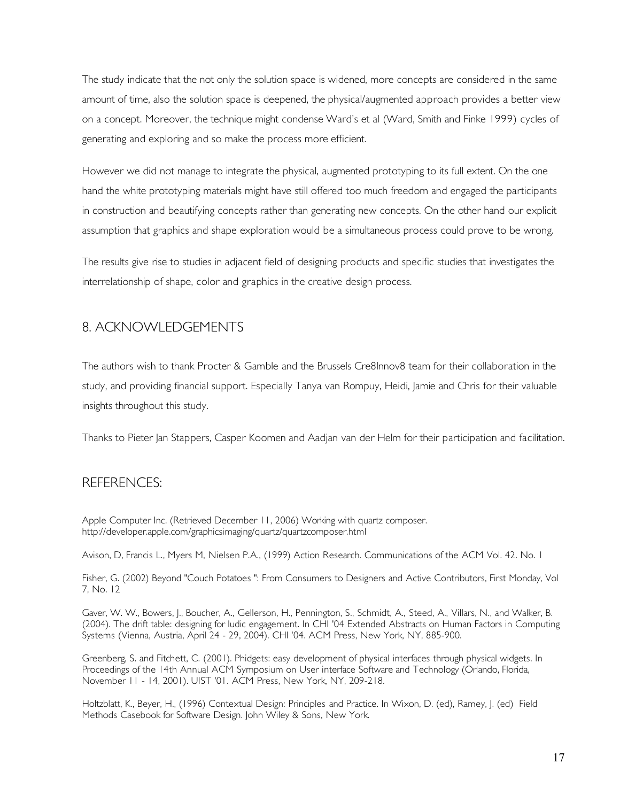The study indicate that the not only the solution space is widened, more concepts are considered in the same amount of time, also the solution space is deepened, the physical/augmented approach provides a better view on a concept. Moreover, the technique might condense Ward's et al (Ward, Smith and Finke 1999) cycles of generating and exploring and so make the process more efficient.

However we did not manage to integrate the physical, augmented prototyping to its full extent. On the one hand the white prototyping materials might have still offered too much freedom and engaged the participants in construction and beautifying concepts rather than generating new concepts. On the other hand our explicit assumption that graphics and shape exploration would be a simultaneous process could prove to be wrong.

The results give rise to studies in adjacent field of designing products and specific studies that investigates the interrelationship of shape, color and graphics in the creative design process.

# 8. ACKNOWLEDGEMENTS

The authors wish to thank Procter & Gamble and the Brussels Cre8Innov8 team for their collaboration in the study, and providing financial support. Especially Tanya van Rompuy, Heidi, Jamie and Chris for their valuable insights throughout this study.

Thanks to Pieter Jan Stappers, Casper Koomen and Aadjan van der Helm for their participation and facilitation.

# REFERENCES:

Apple Computer Inc. (Retrieved December 11, 2006) Working with quartz composer. http://developer.apple.com/graphicsimaging/quartz/quartzcomposer.html

Avison, D, Francis L., Myers M, Nielsen P.A., (1999) Action Research. Communications of the ACM Vol. 42. No. 1

Fisher, G. (2002) Beyond "Couch Potatoes ": From Consumers to Designers and Active Contributors, First Monday, Vol 7, No. 12

Gaver, W. W., Bowers, J., Boucher, A., Gellerson, H., Pennington, S., Schmidt, A., Steed, A., Villars, N., and Walker, B. (2004). The drift table: designing for ludic engagement. In CHI '04 Extended Abstracts on Human Factors in Computing Systems (Vienna, Austria, April 24 - 29, 2004). CHI '04. ACM Press, New York, NY, 885-900.

Greenberg, S. and Fitchett, C. (2001). Phidgets: easy development of physical interfaces through physical widgets. In Proceedings of the 14th Annual ACM Symposium on User interface Software and Technology (Orlando, Florida, November 11 - 14, 2001). UIST '01. ACM Press, New York, NY, 209-218.

Holtzblatt, K., Beyer, H., (1996) Contextual Design: Principles and Practice. In Wixon, D. (ed), Ramey, J. (ed) Field Methods Casebook for Software Design. John Wiley & Sons, New York.